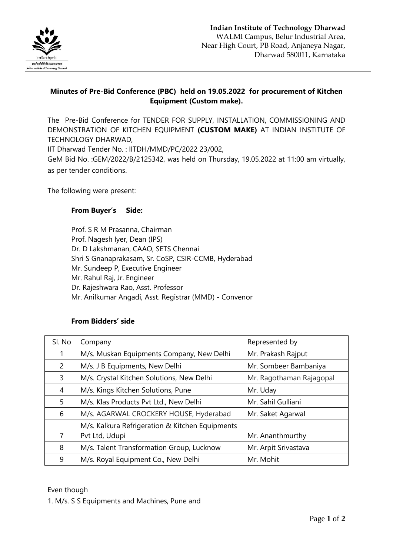

## **Minutes of Pre-Bid Conference (PBC) held on 19.05.2022 for procurement of Kitchen Equipment (Custom make).**

The Pre-Bid Conference for TENDER FOR SUPPLY, INSTALLATION, COMMISSIONING AND DEMONSTRATION OF KITCHEN EQUIPMENT **(CUSTOM MAKE)** AT INDIAN INSTITUTE OF TECHNOLOGY DHARWAD,

IIT Dharwad Tender No. : IITDH/MMD/PC/2022 23/002,

GeM Bid No. :GEM/2022/B/2125342, was held on Thursday, 19.05.2022 at 11:00 am virtually, as per tender conditions.

The following were present:

## **From Buyer's Side:**

Prof. S R M Prasanna, Chairman Prof. Nagesh Iyer, Dean (IPS) Dr. D Lakshmanan, CAAO, SETS Chennai Shri S Gnanaprakasam, Sr. CoSP, CSIR-CCMB, Hyderabad Mr. Sundeep P, Executive Engineer Mr. Rahul Raj, Jr. Engineer Dr. Rajeshwara Rao, Asst. Professor Mr. Anilkumar Angadi, Asst. Registrar (MMD) - Convenor

## **From Bidders' side**

| Sl. No         | Company                                         | Represented by           |
|----------------|-------------------------------------------------|--------------------------|
| 1              | M/s. Muskan Equipments Company, New Delhi       | Mr. Prakash Rajput       |
| $\overline{2}$ | M/s. J B Equipments, New Delhi                  | Mr. Sombeer Bambaniya    |
| 3              | M/s. Crystal Kitchen Solutions, New Delhi       | Mr. Ragothaman Rajagopal |
| 4              | M/s. Kings Kitchen Solutions, Pune              | Mr. Uday                 |
| 5              | M/s. Klas Products Pvt Ltd., New Delhi          | Mr. Sahil Gulliani       |
| 6              | M/s. AGARWAL CROCKERY HOUSE, Hyderabad          | Mr. Saket Agarwal        |
|                | M/s. Kalkura Refrigeration & Kitchen Equipments |                          |
| 7              | Pvt Ltd, Udupi                                  | Mr. Ananthmurthy         |
| 8              | M/s. Talent Transformation Group, Lucknow       | Mr. Arpit Srivastava     |
| 9              | M/s. Royal Equipment Co., New Delhi             | Mr. Mohit                |

Even though

1. M/s. S S Equipments and Machines, Pune and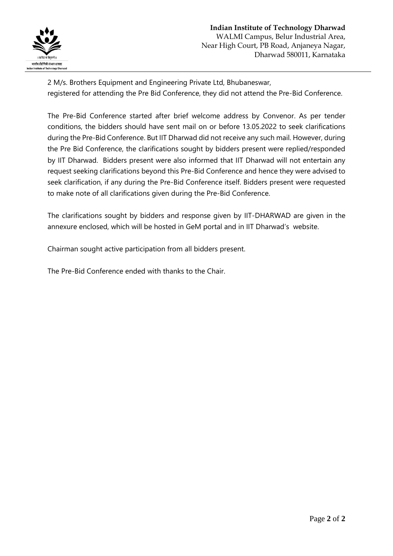

2 M/s. Brothers Equipment and Engineering Private Ltd, Bhubaneswar, registered for attending the Pre Bid Conference, they did not attend the Pre-Bid Conference.

The Pre-Bid Conference started after brief welcome address by Convenor. As per tender conditions, the bidders should have sent mail on or before 13.05.2022 to seek clarifications during the Pre-Bid Conference. But IIT Dharwad did not receive any such mail. However, during the Pre Bid Conference, the clarifications sought by bidders present were replied/responded by IIT Dharwad. Bidders present were also informed that IIT Dharwad will not entertain any request seeking clarifications beyond this Pre-Bid Conference and hence they were advised to seek clarification, if any during the Pre-Bid Conference itself. Bidders present were requested to make note of all clarifications given during the Pre-Bid Conference.

The clarifications sought by bidders and response given by IIT-DHARWAD are given in the annexure enclosed, which will be hosted in GeM portal and in IIT Dharwad's website.

Chairman sought active participation from all bidders present.

The Pre-Bid Conference ended with thanks to the Chair.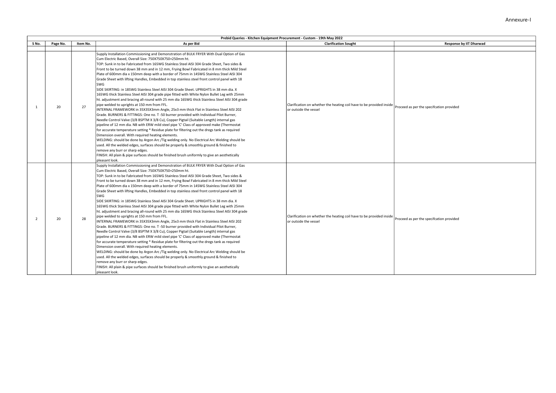|                | Prebid Queries - Kitchen Equipment Procurement - Custom - 19th May 2022 |          |                                                                                                                                                                                                                                                                                                                                                                                                                                                                                                                                                                                                                                                                                                                                                                                                                                                                                                                                                                                                                                                                                                                                                                                                                                                                                                                                                                                                                                                                                                                                                                                                                                                                                                                                                                                    |                                                                                               |                                          |  |
|----------------|-------------------------------------------------------------------------|----------|------------------------------------------------------------------------------------------------------------------------------------------------------------------------------------------------------------------------------------------------------------------------------------------------------------------------------------------------------------------------------------------------------------------------------------------------------------------------------------------------------------------------------------------------------------------------------------------------------------------------------------------------------------------------------------------------------------------------------------------------------------------------------------------------------------------------------------------------------------------------------------------------------------------------------------------------------------------------------------------------------------------------------------------------------------------------------------------------------------------------------------------------------------------------------------------------------------------------------------------------------------------------------------------------------------------------------------------------------------------------------------------------------------------------------------------------------------------------------------------------------------------------------------------------------------------------------------------------------------------------------------------------------------------------------------------------------------------------------------------------------------------------------------|-----------------------------------------------------------------------------------------------|------------------------------------------|--|
| S No.          | Page No.                                                                | Item No. | As per Bid                                                                                                                                                                                                                                                                                                                                                                                                                                                                                                                                                                                                                                                                                                                                                                                                                                                                                                                                                                                                                                                                                                                                                                                                                                                                                                                                                                                                                                                                                                                                                                                                                                                                                                                                                                         | <b>Clarification Sought</b>                                                                   | Response by IIT Dharwad                  |  |
|                |                                                                         |          |                                                                                                                                                                                                                                                                                                                                                                                                                                                                                                                                                                                                                                                                                                                                                                                                                                                                                                                                                                                                                                                                                                                                                                                                                                                                                                                                                                                                                                                                                                                                                                                                                                                                                                                                                                                    |                                                                                               |                                          |  |
| $\mathbf{1}$   | 20                                                                      | 27       | Supply Installation Commissioning and Demonstration of BULK FRYER With Dual Option of Gas<br>Cum Electric Based, Overall Size: 750X750X750+250mm ht.<br>TOP: Sunk in to be Fabricated from 16SWG Stainless Steel AISI 304 Grade Sheet, Two sides &<br>Front to be turned down 38 mm and in 12 mm, Frying Bowl Fabricated in 8 mm thick Mild Steel<br>Plate of 600mm dia x 150mm deep with a border of 75mm in 14SWG Stainless Steel AISI 304<br>Grade Sheet with lifting Handles, Embedded in top stainless steel front control panel with 18<br>SWG<br>SIDE SKIRTING: in 18SWG Stainless Steel AISI 304 Grade Sheet. UPRIGHTS in 38 mm dia. X<br>16SWG thick Stainless Steel AISI 304 grade pipe fitted with White Nylon Bullet Leg with 25mm<br>ht. adjustment and bracing all-round with 25 mm dia 16SWG thick Stainless Steel AISI 304 grade<br>pipe welded to uprights at 150 mm from FFL.<br>INTERNAL FRAMEWORK in 35X35X3mm Angle, 25x3 mm thick Flat in Stainless Steel AISI 202<br>Grade. BURNERS & FITTINGS: One no. T -50 burner provided with Individual Pilot Burner,<br>Needle Control Valve (3/8 BSPTM X 3/8 Cu), Copper Pigtail (Suitable Length) internal gas<br>pipeline of 12 mm dia. NB with ERW mild steel pipe 'C' Class of approved make (Thermostat<br>for accurate temperature setting * Residue plate for filtering out the dregs tank as required<br>Dimension overall. With required heating elements.<br>WELDING: should be done by Argon Arc /Tig welding only. No Electrical Arc Welding should be<br>used. All the welded edges, surfaces should be properly & smoothly ground & finished to<br>remove any burr or sharp edges.<br>FINISH: All plain & pipe surfaces should be finished brush uniformly to give an aesthetically<br>pleasant look. | Clarification on whether the heating coil have to be provided inside<br>or outside the vessel | Proceed as per the specifcation provided |  |
| $\overline{2}$ | 20                                                                      | 28       | Supply Installation Commissioning and Demonstration of BULK FRYER With Dual Option of Gas<br>Cum Electric Based, Overall Size: 750X750X750+250mm ht.<br>TOP: Sunk in to be Fabricated from 16SWG Stainless Steel AISI 304 Grade Sheet, Two sides &<br>Front to be turned down 38 mm and in 12 mm, Frying Bowl Fabricated in 8 mm thick Mild Steel<br>Plate of 600mm dia x 150mm deep with a border of 75mm in 14SWG Stainless Steel AISI 304<br>Grade Sheet with lifting Handles, Embedded in top stainless steel front control panel with 18<br>SWG<br>SIDE SKIRTING: in 18SWG Stainless Steel AISI 304 Grade Sheet. UPRIGHTS in 38 mm dia. X<br>16SWG thick Stainless Steel AISI 304 grade pipe fitted with White Nylon Bullet Leg with 25mm<br>ht. adjustment and bracing all-round with 25 mm dia 16SWG thick Stainless Steel AISI 304 grade<br>pipe welded to uprights at 150 mm from FFL.<br>INTERNAL FRAMEWORK in 35X35X3mm Angle, 25x3 mm thick Flat in Stainless Steel AISI 202<br>Grade. BURNERS & FITTINGS: One no. T -50 burner provided with Individual Pilot Burner,<br>Needle Control Valve (3/8 BSPTM X 3/8 Cu), Copper Pigtail (Suitable Length) internal gas<br>pipeline of 12 mm dia. NB with ERW mild steel pipe 'C' Class of approved make (Thermostat<br>for accurate temperature setting * Residue plate for filtering out the dregs tank as required<br>Dimension overall. With required heating elements.<br>WELDING: should be done by Argon Arc /Tig welding only. No Electrical Arc Welding should be<br>used. All the welded edges, surfaces should be properly & smoothly ground & finished to<br>emove any burr or sharp edges.<br>FINISH: All plain & pipe surfaces should be finished brush uniformly to give an aesthetically<br>pleasant look.  | Clarification on whether the heating coil have to be provided inside<br>or outside the vessel | Proceed as per the specifcation provided |  |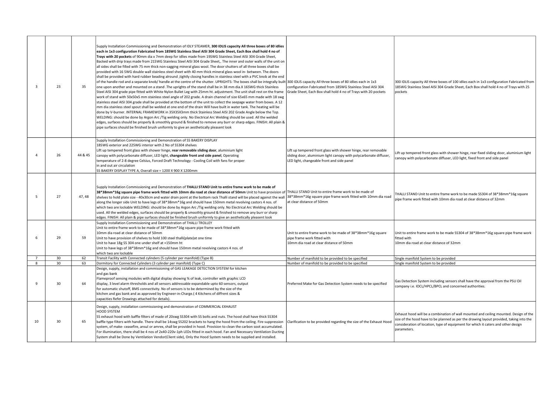| $\overline{\mathbf{3}}$ | 23       | 35       | Supply Installation Commissioning and Demonstration of IDLY STEAMER, 300 IDLIS capacity All three boxes of 80 idlies<br>each in 1x3 configuration Fabricated from 18SWG Stainless Steel AISI 304 Grade Sheet, Each Box shall hold 4 no of<br>Trays with 20 pockets of 90mm dia x 7mm deep for idlies made from 19SWG Stainless Steel AISI 304 Grade Sheet,<br>Backed with drip trays made from 21SWG Stainless Steel AISI 304 Grade Sheet,. The inner and outer walls of the unit on<br>all sides shall be filled with 75 mm thick non-sagging mineral glass wool. The door shutters of all three boxes shall be<br>provided with 16 SWG double wall stainless steel sheet with 40 mm thick mineral glass wool in- between. The doors<br>shall be provided with hard rubber beading alround ,tightly closing handles in stainless steel with a PVC knob at the end<br>of the handle rod and a separate knob/ handle at the centre of the shutter. UPRIGHTS: The boxes shall be integrally built 300 IDLIS capacity All three boxes of 80 idlies each in 1x3<br>one upon another and mounted on a stand .The uprights of the stand shall be in 38 mm dia.X 16SWG thick Stainless<br>Steel AISI 304 grade pipe fitted with White Nylon Bullet Leg with 25mm ht. adjustment. The unit shall rest on the frame<br>work of stand with 50x50x5 mm stainless steel angle of 202 grade. A drain channel of size 65x65 mm made with 18 swg<br>stainless steel AISI 304 grade shall be provided at the bottom of the unit to collect the seepage water from boxes. A 12<br>mm dia stainless steel spout shall be welded at one end of the drain Will have built in water tank. The heating will be<br>done by V-burner. INTERNAL FRAMEWORK in 35X35X3mm thick Stainless Steel AISI 202 Grade Angle below the Top.<br>WELDING: should be done by Argon Arc /Tig welding only. No Electrical Arc Welding should be used. All the welded<br>edges, surfaces should be properly & smoothly ground & finished to remove any burr or sharp edges. FINISH: All plain &<br>pipe surfaces should be finished brush uniformly to give an aesthetically pleasent look | configuration Fabricated from 18SWG Stainless Steel AISI 304<br>Grade Sheet, Each Box shall hold 4 no of Trays with 20 pockets                                                            | 300 IDLIS capacity All three boxes of 100 idlies each in 1x3 configuration Fabricated from<br>18SWG Stainless Steel AISI 304 Grade Sheet, Each Box shall hold 4 no of Trays with 25<br><b>nockets</b>                                                                                |
|-------------------------|----------|----------|--------------------------------------------------------------------------------------------------------------------------------------------------------------------------------------------------------------------------------------------------------------------------------------------------------------------------------------------------------------------------------------------------------------------------------------------------------------------------------------------------------------------------------------------------------------------------------------------------------------------------------------------------------------------------------------------------------------------------------------------------------------------------------------------------------------------------------------------------------------------------------------------------------------------------------------------------------------------------------------------------------------------------------------------------------------------------------------------------------------------------------------------------------------------------------------------------------------------------------------------------------------------------------------------------------------------------------------------------------------------------------------------------------------------------------------------------------------------------------------------------------------------------------------------------------------------------------------------------------------------------------------------------------------------------------------------------------------------------------------------------------------------------------------------------------------------------------------------------------------------------------------------------------------------------------------------------------------------------------------------------------------------------------------------------------------------------------------------------------------------------------------------------|-------------------------------------------------------------------------------------------------------------------------------------------------------------------------------------------|--------------------------------------------------------------------------------------------------------------------------------------------------------------------------------------------------------------------------------------------------------------------------------------|
| $\mathbf{A}$            | 26       | 44 & 45  | Supply Installation Commissioning and Demonstration of SS BAKERY DISPLAY<br>18SWG exterior and 22SWG interior with 2 No of SS304 shelves<br>Lift up tempered front glass with shower hinge, rear removable sliding door, aluminium light<br>canopy with polycarbonate diffuser, LED light, changeable front and side panel, Operating<br>temperature of 2-8 degree Celsius, Forced Draft Technology - Cooling Coil with fans for proper<br>in and out air circulation<br>SS BAKERY DISPLAY TYPE A, Overall size = 1200 X 900 X 1200mm                                                                                                                                                                                                                                                                                                                                                                                                                                                                                                                                                                                                                                                                                                                                                                                                                                                                                                                                                                                                                                                                                                                                                                                                                                                                                                                                                                                                                                                                                                                                                                                                            | Lift up tempered front glass with shower hinge, rear removable<br>sliding door, aluminium light canopy with polycarbonate diffuser,<br>LED light, changeable front and side panel         | Lift up tempered front glass with shower hinge, rear fixed sliding door, aluminium light<br>canopy with polycarbonate diffuser, LED light, fixed front and side panel                                                                                                                |
| 5                       | 27       | 47, 48   | Supply Installation Commissioning and Demonstration of THALLI STAND Unit to entire frame work to be made of<br>38*38mm*16g square pipe frame work fitted with 10mm dia road at clear distance of 50mm Unit to have provision of THALLI STAND Unit to entire frame work to be made of<br>shelves to hold plate size - 40x30cm and water drain point at the bottom rack Thalli stand will be placed against the wall<br>along the longer side Unit to have legs of 38*38mm*16g and should have 150mm metal revolving castors 4 nos. of<br>which two are lockable WELDING: should be done by Argon Arc /Tig welding only. No Electrical Arc Welding should be<br>used. All the welded edges, surfaces should be properly & smoothly ground & finished to remove any burr or sharp<br>edges. FINISH: All plain & pipe surfaces should be finished brush uniformly to give an aesthetically pleasent look                                                                                                                                                                                                                                                                                                                                                                                                                                                                                                                                                                                                                                                                                                                                                                                                                                                                                                                                                                                                                                                                                                                                                                                                                                             | 38*38mm*16g square pipe frame work fitted with 10mm dia road<br>at clear distance of 50mm                                                                                                 | THALLI STAND Unit to entire frame work to be made SS304 of 38*38mm*16g square<br>pipe frame work fitted with 10mm dia road at clear distance of 32mm                                                                                                                                 |
| 6<br>$\overline{7}$     | 29<br>30 | 59<br>62 | Supply Installation Commissioning and Demonstration of THALLI TROLLEY<br>Unit to entire frame work to be made of 38*38mm*16g square pipe frame work fitted with<br>10mm dia road at clear distance of 50mm<br>Unit to have provision of shelves to hold 100 steel thalli(plate)at one time<br>Unit to have 18g SS 304 one under shelf at +150mm ht<br>Unit to have legs of 38*38mm*16g and should have 150mm metal revolving castors 4 nos. of<br>which two are lockable<br>Transit Facility with Connected cylinders (5 cylinder per manifold) (Type B)                                                                                                                                                                                                                                                                                                                                                                                                                                                                                                                                                                                                                                                                                                                                                                                                                                                                                                                                                                                                                                                                                                                                                                                                                                                                                                                                                                                                                                                                                                                                                                                         | Unit to entire frame work to be made of 38*38mm*16g square<br>pipe frame work fitted with<br>10mm dia road at clear distance of 50mm<br>Number of manifold to be provided to be specified | Unit to entire frame work to be made SS304 of 38*38mm*16g square pipe frame work<br>fitted with<br>10mm dia road at clear distance of 32mm<br>Single manifold System to be provided                                                                                                  |
|                         |          |          |                                                                                                                                                                                                                                                                                                                                                                                                                                                                                                                                                                                                                                                                                                                                                                                                                                                                                                                                                                                                                                                                                                                                                                                                                                                                                                                                                                                                                                                                                                                                                                                                                                                                                                                                                                                                                                                                                                                                                                                                                                                                                                                                                  |                                                                                                                                                                                           |                                                                                                                                                                                                                                                                                      |
| 8<br>$\mathbf{q}$       | 30<br>30 | 63<br>64 | Dormitory for Connected Cylinders (3 cylinder per manifold) (Type C)<br>Design, supply, installation and commissioning of GAS LEAKAGE DETECTION SYSTEM for kitchen<br>and gas bank<br>Flameproof sensing modules with digital display showing % of leak, controller with graphic LCD<br>display, 3 level alarm thresholds and all sensors addressable expandable upto 60 sensors, output<br>for automatic shutoff, BMS connectivity. No of sensors is to be determined by the size of the<br>kitchen and gas bank and as approved by Engineer-in-Charge.(4 Kitchens of diffrent sizes &<br>capacities Refer Drawings attached for details).                                                                                                                                                                                                                                                                                                                                                                                                                                                                                                                                                                                                                                                                                                                                                                                                                                                                                                                                                                                                                                                                                                                                                                                                                                                                                                                                                                                                                                                                                                      | Number of manifold to be provided to be specified<br>Preferred Make for Gas Detection System needs to be specified                                                                        | Single manifold System to be provided<br>Gas Detection System including sensors shall have the approval from the PSU Oil<br>company i.e. IOCL/HPCL/BPCL and concerned authorities.                                                                                                   |
| 10                      | 30       | 65       | Design, supply, installation commissioning and demonstration of COMMERCIAL EXHAUST<br>HOOD SYSTEM<br>SS exhaust hood with baffle filters of made of 20swg SS304 with SS bolts and nuts. The hood shall have thick SS304<br>baffle type filters with handle. There shall be 14swg SS202 brackets to hang the hood from the ceiling. Fire suppression<br>system, of make- ceasefire, ansul or amrex, shall be provided in hood. Provision to clean the carbon soot accumulated.<br>For illumination, there shall be 4 nos of 2x40-220v-1ph LEDs fitted in each hood. Fan and Necessary Ventilation Ducting<br>System shall be Done by Ventilation Vendor(Client side), Only the Hood System needs to be supplied and installed.                                                                                                                                                                                                                                                                                                                                                                                                                                                                                                                                                                                                                                                                                                                                                                                                                                                                                                                                                                                                                                                                                                                                                                                                                                                                                                                                                                                                                    | Clarification to be provided regarding the size of the Exhaust Hood                                                                                                                       | Exhaust hood will be a combination of wall mounted and ceiling mounted. Design of the<br>size of the hood have to be planned as per the drawing layout provided, taking into the<br>consideration of location, type of equipment for which it caters and other design<br>parameters. |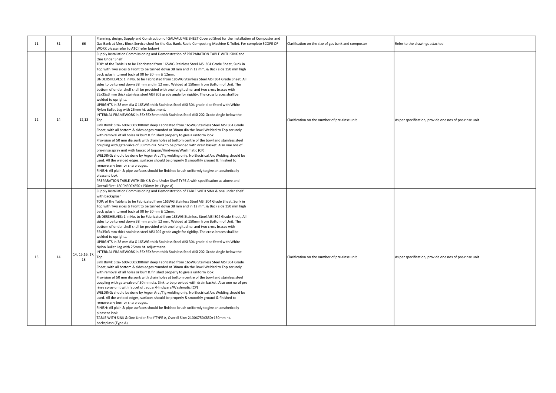| 11 | 31 | 66                    | Planning, design, Supply and Construction of GALVALUME SHEET Covered Shed for the Installation of Composter and<br>Gas Bank at Mess Block Service shed for the Gas Bank, Rapid Composting Machine & Toilet. For complete SCOPE OF<br>WORK please refer to ATC (refer below)                                                                                                                                                                                                                                                                                                                                                                                                                                                                                                                                                                                                                                                                                                                                                                                                                                                                                                                                                                                                                                                                                                                                                                                                                                                                                                                                                                                                                                                                                                                                                                                                                                                                                                                                                                               | Clarification on the size of gas bank and composter | Refer to the drawings attached                          |
|----|----|-----------------------|-----------------------------------------------------------------------------------------------------------------------------------------------------------------------------------------------------------------------------------------------------------------------------------------------------------------------------------------------------------------------------------------------------------------------------------------------------------------------------------------------------------------------------------------------------------------------------------------------------------------------------------------------------------------------------------------------------------------------------------------------------------------------------------------------------------------------------------------------------------------------------------------------------------------------------------------------------------------------------------------------------------------------------------------------------------------------------------------------------------------------------------------------------------------------------------------------------------------------------------------------------------------------------------------------------------------------------------------------------------------------------------------------------------------------------------------------------------------------------------------------------------------------------------------------------------------------------------------------------------------------------------------------------------------------------------------------------------------------------------------------------------------------------------------------------------------------------------------------------------------------------------------------------------------------------------------------------------------------------------------------------------------------------------------------------------|-----------------------------------------------------|---------------------------------------------------------|
| 12 | 14 | 12,13                 | Supply Installation Commissioning and Demonstration of PREPARATION TABLE WITH SINK and<br>One Under Shelf<br>TOP: of the Table is to be Fabricated from 16SWG Stainless Steel AISI 304 Grade Sheet, Sunk in<br>Top with Two sides & Front to be turned down 38 mm and in 12 mm, & Back side 150 mm high<br>back splash. turned back at 90 by 20mm & 12mm,<br>UNDERSHELVES: 1 in No. to be Fabricated from 18SWG Stainless Steel AISI 304 Grade Sheet, All<br>sides to be turned down 38 mm and in 12 mm. Welded at 150mm from Bottom of Unit, The<br>bottom of under shelf shall be provided with one longitudinal and two cross braces with<br>35x35x3 mm thick stainless steel AISI 202 grade angle for rigidity. The cross braces shall be<br>welded to uprights.<br>UPRIGHTS in 38 mm dia X 16SWG thick Stainless Steel AISI 304 grade pipe fitted with White<br>Nylon Bullet Leg with 25mm ht. adjustment.<br>INTERNAL FRAMEWORK in 35X35X3mm thick Stainless Steel AISI 202 Grade Angle below the<br>Top.<br>Sink Bowl: Size- 600x600x300mm deep Fabricated from 16SWG Stainless Steel AISI 304 Grade<br>Sheet, with all bottom & sides edges rounded at 38mm dia the Bowl Welded to Top securely<br>with removal of all holes or burr & finished properly to give a uniform look.<br>Provision of 50 mm dia sunk with drain holes at bottom centre of the bowl and stainless steel<br>coupling with gate valve of 50 mm dia. Sink to be provided with drain basket. Also one nos of<br>pre-rinse spray unit with faucet of Jaquar/Hindware/Washmatic (CP)<br>WELDING: should be done by Argon Arc /Tig welding only. No Electrical Arc Welding should be<br>used. All the welded edges, surfaces should be properly & smoothly ground & finished to<br>remove any burr or sharp edges.<br>FINISH: All plain & pipe surfaces should be finished brush uniformly to give an aesthetically<br>pleasant look.<br>PREPARATION TABLE WITH SINK & One Under Shelf TYPE A with specification as above and<br>Overall Size: 1800X600X850+150mm ht. (Type A) | Clarification on the number of pre-rinse unit       | As per specification, provide one nos of pre-rinse unit |
| 13 | 14 | 14, 15, 16, 17,<br>18 | Supply Installation Commissioning and Demonstration of TABLE WITH SINK & one under shelf<br>with backsplash<br>TOP: of the Table is to be Fabricated from 16SWG Stainless Steel AISI 304 Grade Sheet, Sunk in<br>Top with Two sides & Front to be turned down 38 mm and in 12 mm, & Back side 150 mm high<br>back splash. turned back at 90 by 20mm & 12mm,<br>UNDERSHELVES: 1 in No. to be Fabricated from 18SWG Stainless Steel AISI 304 Grade Sheet, All<br>sides to be turned down 38 mm and in 12 mm. Welded at 150mm from Bottom of Unit, The<br>bottom of under shelf shall be provided with one longitudinal and two cross braces with<br>35x35x3 mm thick stainless steel AISI 202 grade angle for rigidity. The cross braces shall be<br>welded to uprights.<br>UPRIGHTS in 38 mm dia X 16SWG thick Stainless Steel AISI 304 grade pipe fitted with White<br>Nylon Bullet Leg with 25mm ht. adjustment.<br>INTERNAL FRAMEWORK in 35X35X3mm thick Stainless Steel AISI 202 Grade Angle below the<br>Top.<br>Sink Bowl: Size- 600x600x300mm deep Fabricated from 16SWG Stainless Steel AISI 304 Grade<br>Sheet, with all bottom & sides edges rounded at 38mm dia the Bowl Welded to Top securely<br>with removal of all holes or burr & finished properly to give a uniform look.<br>Provision of 50 mm dia sunk with drain holes at bottom centre of the bowl and stainless steel<br>coupling with gate valve of 50 mm dia. Sink to be provided with drain basket. Also one no of pre<br>rinse spray unit with faucet of Jaquar/Hindware/Washmatic (CP)<br>WELDING: should be done by Argon Arc /Tig welding only. No Electrical Arc Welding should be<br>used. All the welded edges, surfaces should be properly & smoothly ground & finished to<br>remove any burr or sharp edges.<br>FINISH: All plain & pipe surfaces should be finished brush uniformly to give an aesthetically<br>pleasent look.<br>TABLE WITH SINK & One Under Shelf TYPE A, Overall Size: 2100X750X850+150mm ht.<br>backsplash (Type A)                                | Clarification on the number of pre-rinse unit       | As per specification, provide one nos of pre-rinse unit |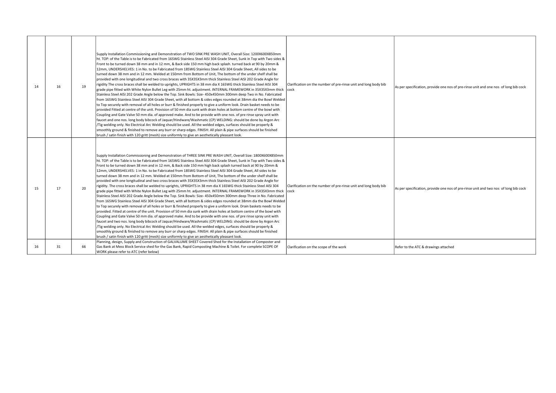| 14 | 16 | 19 | Supply Installation Commissioning and Demonstration of TWO SINK PRE WASH UNIT, Overall Size: 1200X600X850mm<br>ht. TOP: of the Table is to be Fabricated from 16SWG Stainless Steel AISI 304 Grade Sheet, Sunk in Top with Two sides &<br>Front to be turned down 38 mm and in 12 mm, & Back side 150 mm high back splash. turned back at 90 by 20mm &<br>12mm, UNDERSHELVES: 1 in No. to be Fabricated from 18SWG Stainless Steel AISI 304 Grade Sheet, All sides to be<br>turned down 38 mm and in 12 mm. Welded at 150mm from Bottom of Unit, The bottom of the under shelf shall be<br>provided with one longitudinal and two cross braces with 35X35X3mm thick Stainless Steel AISI 202 Grade Angle for<br>rigidity The cross braces shall be welded to uprights, UPRIGHTS in 38 mm dia X 16SWG thick Stainless Steel AISI 304<br>grade pipe fitted with White Nylon Bullet Leg with 25mm ht. adjustment. INTERNAL FRAMEWORK in 35X35X3mm thick  cock<br>Stainless Steel AISI 202 Grade Angle below the Top. Sink Bowls: Size-450x450mm 300mm deep Two in No. Fabricated<br>from 16SWG Stainless Steel AISI 304 Grade Sheet, with all bottom & sides edges rounded at 38mm dia the Bowl Welded<br>to Top securely with removal of all holes or burr & finished properly to give a uniform look. Drain basket needs to be<br>provided Fitted at centre of the unit. Provision of 50 mm dia sunk with drain holes at bottom centre of the bowl with<br>Coupling and Gate Valve 50 mm dia, of approved make. And to be provide with one nos, of pre rinse spray unit with<br>faucet and one nos. long body bibcock of Jaquar/Hindware/Washmatic (CP) WELDING: should be done by Argon Arc<br>/Tig welding only. No Electrical Arc Welding should be used. All the welded edges, surfaces should be properly &<br>smoothly ground & finished to remove any burr or sharp edges. FINISH: All plain & pipe surfaces should be finished<br>brush / satin finish with 120 gritt (mesh) size uniformly to give an aesthetically pleasant look.  | Clarification on the number of pre-rinse unit and long body bib         | As per specification, provide one nos of pre-rinse unit and one nos of long bib cock |
|----|----|----|---------------------------------------------------------------------------------------------------------------------------------------------------------------------------------------------------------------------------------------------------------------------------------------------------------------------------------------------------------------------------------------------------------------------------------------------------------------------------------------------------------------------------------------------------------------------------------------------------------------------------------------------------------------------------------------------------------------------------------------------------------------------------------------------------------------------------------------------------------------------------------------------------------------------------------------------------------------------------------------------------------------------------------------------------------------------------------------------------------------------------------------------------------------------------------------------------------------------------------------------------------------------------------------------------------------------------------------------------------------------------------------------------------------------------------------------------------------------------------------------------------------------------------------------------------------------------------------------------------------------------------------------------------------------------------------------------------------------------------------------------------------------------------------------------------------------------------------------------------------------------------------------------------------------------------------------------------------------------------------------------------------------------------------------|-------------------------------------------------------------------------|--------------------------------------------------------------------------------------|
| 15 | 17 | 20 | Supply Installation Commissioning and Demonstration of THREE SINK PRE WASH UNIT, Overall Size: 1800X600X850mm<br>ht. TOP: of the Table is to be Fabricated from 16SWG Stainless Steel AISI 304 Grade Sheet, Sunk in Top with Two sides &<br>Front to be turned down 38 mm and in 12 mm, & Back side 150 mm high back splash turned back at 90 by 20mm &<br>12mm, UNDERSHELVES: 1 in No. to be Fabricated from 18SWG Stainless Steel AISI 304 Grade Sheet, All sides to be<br>turned down 38 mm and in 12 mm. Welded at 150mm from Bottom of Unit, The bottom of the under shelf shall be<br>provided with one longitudinal and two cross braces with 35X35X3mm thick Stainless Steel AISI 202 Grade Angle for<br>rigidity. The cross braces shall be welded to uprights, UPRIGHTS in 38 mm dia X 16SWG thick Stainless Steel AISI 304<br>grade pipe fitted with White Nylon Bullet Leg with 25mm ht. adjustment. INTERNAL FRAMEWORK in 35X35X3mm thick<br>Stainless Steel AISI 202 Grade Angle below the Top. Sink Bowls: Size- 450x450mm 300mm deep Three in No. Fabricated<br>from 16SWG Stainless Steel AISI 304 Grade Sheet, with all bottom & sides edges rounded at 38mm dia the Bowl Welded<br>to Top securely with removal of all holes or burr & finished properly to give a uniform look. Drain baskets needs to be<br>provided. Fitted at centre of the unit. Provision of 50 mm dia sunk with drain holes at bottom centre of the bowl with<br>Coupling and Gate Valve 50 mm dia, of approved make. And to be provide with one nos, of pre rinse spray unit with<br>faucet and two nos. long body bibcock of Jaquar/Hindware/Washmatic (CP) WELDING: should be done by Argon Arc<br>/Tig welding only. No Electrical Arc Welding should be used. All the welded edges, surfaces should be properly &<br>smoothly ground & finished to remove any burr or sharp edges. FINISH: All plain & pipe surfaces should be finished<br>brush / satin finish with 120 gritt (mesh) size uniformly to give an aesthetically pleasant look. | Clarification on the number of pre-rinse unit and long body bib<br>cock | As per specification, provide one nos of pre-rinse unit and two nos of long bib cock |
| 16 | 31 | 66 | Planning, design, Supply and Construction of GALVALUME SHEET Covered Shed for the Installation of Composter and<br>Gas Bank at Mess Block Service shed for the Gas Bank, Rapid Composting Machine & Toilet. For complete SCOPE OF<br>WORK please refer to ATC (refer below)                                                                                                                                                                                                                                                                                                                                                                                                                                                                                                                                                                                                                                                                                                                                                                                                                                                                                                                                                                                                                                                                                                                                                                                                                                                                                                                                                                                                                                                                                                                                                                                                                                                                                                                                                                 | Clarification on the scope of the work                                  | Refer to the ATC & drawings attached                                                 |